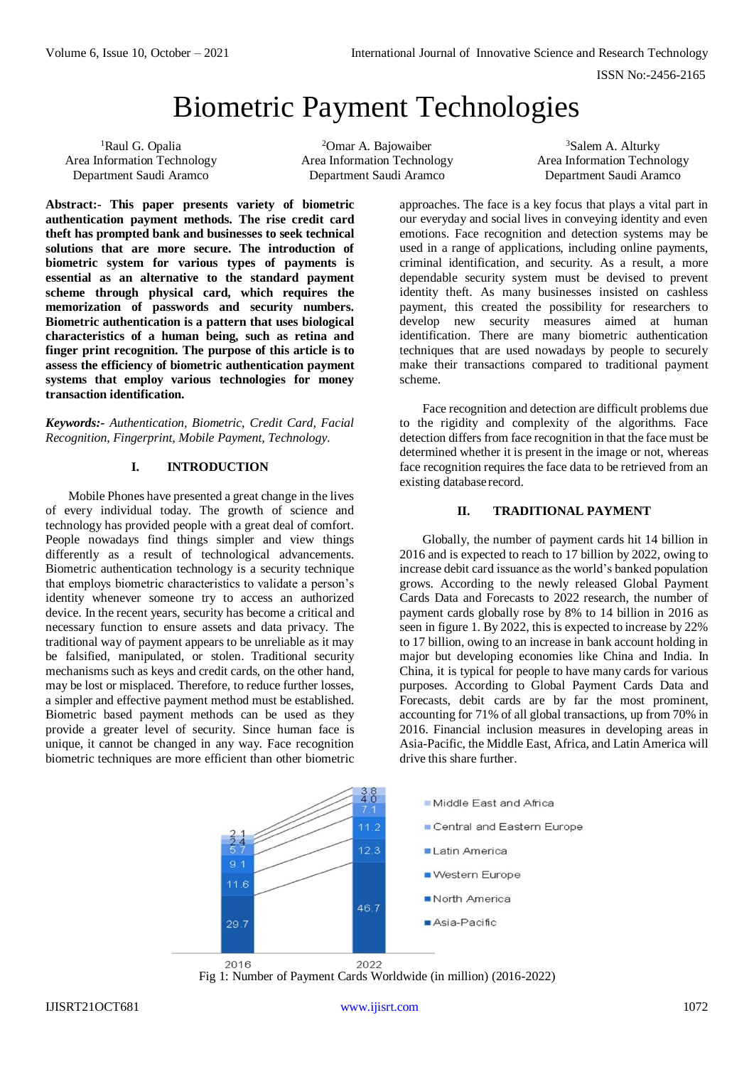ISSN No:-2456-2165

# Biometric Payment Technologies

<sup>1</sup>Raul G. Opalia Area Information Technology Department Saudi Aramco

<sup>2</sup>Omar A. Bajowaiber Area Information Technology Department Saudi Aramco

<sup>3</sup>Salem A. Alturky Area Information Technology Department Saudi Aramco

**Abstract:- This paper presents variety of biometric authentication payment methods. The rise credit card theft has prompted bank and businesses to seek technical solutions that are more secure. The introduction of biometric system for various types of payments is essential as an alternative to the standard payment scheme through physical card, which requires the memorization of passwords and security numbers. Biometric authentication is a pattern that uses biological characteristics of a human being, such as retina and finger print recognition. The purpose of this article is to assess the efficiency of biometric authentication payment systems that employ various technologies for money transaction identification.**

*Keywords:- Authentication, Biometric, Credit Card, Facial Recognition, Fingerprint, Mobile Payment, Technology.*

## **I. INTRODUCTION**

Mobile Phones have presented a great change in the lives of every individual today. The growth of science and technology has provided people with a great deal of comfort. People nowadays find things simpler and view things differently as a result of technological advancements. Biometric authentication technology is a security technique that employs biometric characteristics to validate a person's identity whenever someone try to access an authorized device. In the recent years, security has become a critical and necessary function to ensure assets and data privacy. The traditional way of payment appears to be unreliable as it may be falsified, manipulated, or stolen. Traditional security mechanisms such as keys and credit cards, on the other hand, may be lost or misplaced. Therefore, to reduce further losses, a simpler and effective payment method must be established. Biometric based payment methods can be used as they provide a greater level of security. Since human face is unique, it cannot be changed in any way. Face recognition biometric techniques are more efficient than other biometric

approaches. The face is a key focus that plays a vital part in our everyday and social lives in conveying identity and even emotions. Face recognition and detection systems may be used in a range of applications, including online payments, criminal identification, and security. As a result, a more dependable security system must be devised to prevent identity theft. As many businesses insisted on cashless payment, this created the possibility for researchers to develop new security measures aimed at human identification. There are many biometric authentication techniques that are used nowadays by people to securely make their transactions compared to traditional payment scheme.

Face recognition and detection are difficult problems due to the rigidity and complexity of the algorithms. Face detection differs from face recognition in that the face must be determined whether it is present in the image or not, whereas face recognition requires the face data to be retrieved from an existing database record.

# **II. TRADITIONAL PAYMENT**

Globally, the number of payment cards hit 14 billion in 2016 and is expected to reach to 17 billion by 2022, owing to increase debit card issuance as the world's banked population grows. According to the newly released Global Payment Cards Data and Forecasts to 2022 research, the number of payment cards globally rose by 8% to 14 billion in 2016 as seen in figure 1. By 2022, this is expected to increase by 22% to 17 billion, owing to an increase in bank account holding in major but developing economies like China and India. In China, it is typical for people to have many cards for various purposes. According to Global Payment Cards Data and Forecasts, debit cards are by far the most prominent, accounting for 71% of all global transactions, up from 70% in 2016. Financial inclusion measures in developing areas in Asia-Pacific, the Middle East, Africa, and Latin America will drive this share further.



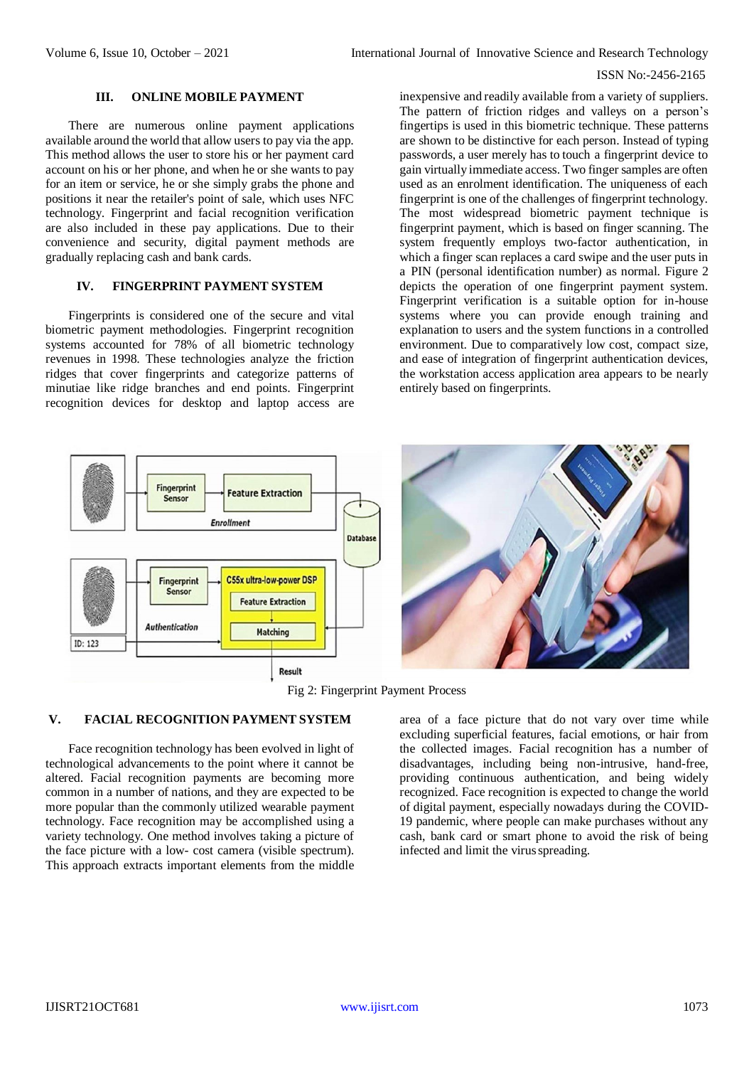### ISSN No:-2456-2165

#### **III. ONLINE MOBILE PAYMENT**

There are numerous online payment applications available around the world that allow users to pay via the app. This method allows the user to store his or her payment card account on his or her phone, and when he or she wants to pay for an item or service, he or she simply grabs the phone and positions it near the retailer's point of sale, which uses NFC technology. Fingerprint and facial recognition verification are also included in these pay applications. Due to their convenience and security, digital payment methods are gradually replacing cash and bank cards.

# **IV. FINGERPRINT PAYMENT SYSTEM**

Fingerprints is considered one of the secure and vital biometric payment methodologies. Fingerprint recognition systems accounted for 78% of all biometric technology revenues in 1998. These technologies analyze the friction ridges that cover fingerprints and categorize patterns of minutiae like ridge branches and end points. Fingerprint recognition devices for desktop and laptop access are inexpensive and readily available from a variety of suppliers. The pattern of friction ridges and valleys on a person's fingertips is used in this biometric technique. These patterns are shown to be distinctive for each person. Instead of typing passwords, a user merely has to touch a fingerprint device to gain virtually immediate access. Two finger samples are often used as an enrolment identification. The uniqueness of each fingerprint is one of the challenges of fingerprint technology. The most widespread biometric payment technique is fingerprint payment, which is based on finger scanning. The system frequently employs two-factor authentication, in which a finger scan replaces a card swipe and the user puts in a PIN (personal identification number) as normal. Figure 2 depicts the operation of one fingerprint payment system. Fingerprint verification is a suitable option for in-house systems where you can provide enough training and explanation to users and the system functions in a controlled environment. Due to comparatively low cost, compact size, and ease of integration of fingerprint authentication devices, the workstation access application area appears to be nearly entirely based on fingerprints.



Fig 2: Fingerprint Payment Process

## **V. FACIAL RECOGNITION PAYMENT SYSTEM**

Face recognition technology has been evolved in light of technological advancements to the point where it cannot be altered. Facial recognition payments are becoming more common in a number of nations, and they are expected to be more popular than the commonly utilized wearable payment technology. Face recognition may be accomplished using a variety technology. One method involves taking a picture of the face picture with a low- cost camera (visible spectrum). This approach extracts important elements from the middle area of a face picture that do not vary over time while excluding superficial features, facial emotions, or hair from the collected images. Facial recognition has a number of disadvantages, including being non-intrusive, hand-free, providing continuous authentication, and being widely recognized. Face recognition is expected to change the world of digital payment, especially nowadays during the COVID-19 pandemic, where people can make purchases without any cash, bank card or smart phone to avoid the risk of being infected and limit the virus spreading.